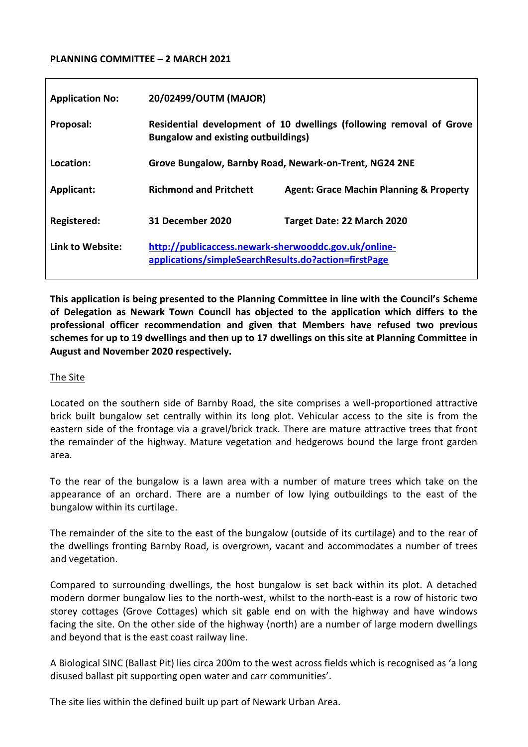### **PLANNING COMMITTEE – 2 MARCH 2021**

| <b>Application No:</b> | 20/02499/OUTM (MAJOR)                                                                                             |                                                    |
|------------------------|-------------------------------------------------------------------------------------------------------------------|----------------------------------------------------|
| Proposal:              | Residential development of 10 dwellings (following removal of Grove<br><b>Bungalow and existing outbuildings)</b> |                                                    |
| Location:              | Grove Bungalow, Barnby Road, Newark-on-Trent, NG24 2NE                                                            |                                                    |
| <b>Applicant:</b>      | <b>Richmond and Pritchett</b>                                                                                     | <b>Agent: Grace Machin Planning &amp; Property</b> |
| Registered:            | 31 December 2020                                                                                                  | Target Date: 22 March 2020                         |
| Link to Website:       | http://publicaccess.newark-sherwooddc.gov.uk/online-<br>applications/simpleSearchResults.do?action=firstPage      |                                                    |

**This application is being presented to the Planning Committee in line with the Council's Scheme of Delegation as Newark Town Council has objected to the application which differs to the professional officer recommendation and given that Members have refused two previous schemes for up to 19 dwellings and then up to 17 dwellings on this site at Planning Committee in August and November 2020 respectively.**

### The Site

Located on the southern side of Barnby Road, the site comprises a well-proportioned attractive brick built bungalow set centrally within its long plot. Vehicular access to the site is from the eastern side of the frontage via a gravel/brick track. There are mature attractive trees that front the remainder of the highway. Mature vegetation and hedgerows bound the large front garden area.

To the rear of the bungalow is a lawn area with a number of mature trees which take on the appearance of an orchard. There are a number of low lying outbuildings to the east of the bungalow within its curtilage.

The remainder of the site to the east of the bungalow (outside of its curtilage) and to the rear of the dwellings fronting Barnby Road, is overgrown, vacant and accommodates a number of trees and vegetation.

Compared to surrounding dwellings, the host bungalow is set back within its plot. A detached modern dormer bungalow lies to the north-west, whilst to the north-east is a row of historic two storey cottages (Grove Cottages) which sit gable end on with the highway and have windows facing the site. On the other side of the highway (north) are a number of large modern dwellings and beyond that is the east coast railway line.

A Biological SINC (Ballast Pit) lies circa 200m to the west across fields which is recognised as 'a long disused ballast pit supporting open water and carr communities'.

The site lies within the defined built up part of Newark Urban Area.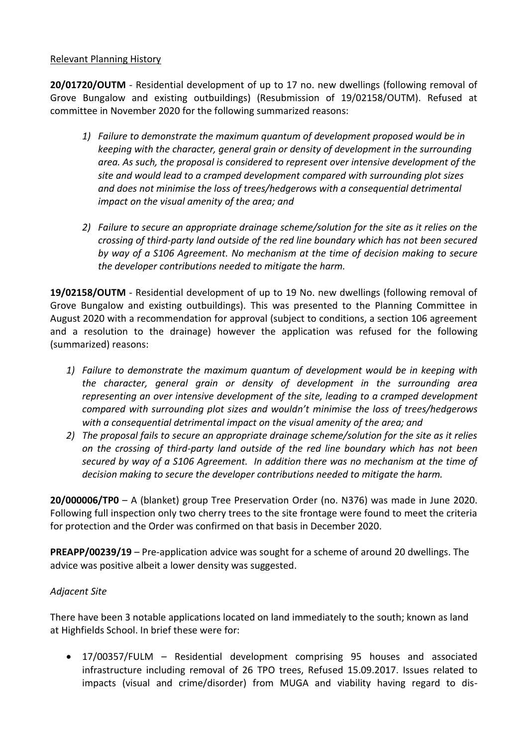### Relevant Planning History

**20/01720/OUTM** - Residential development of up to 17 no. new dwellings (following removal of Grove Bungalow and existing outbuildings) (Resubmission of 19/02158/OUTM). Refused at committee in November 2020 for the following summarized reasons:

- *1) Failure to demonstrate the maximum quantum of development proposed would be in keeping with the character, general grain or density of development in the surrounding area. As such, the proposal is considered to represent over intensive development of the site and would lead to a cramped development compared with surrounding plot sizes and does not minimise the loss of trees/hedgerows with a consequential detrimental impact on the visual amenity of the area; and*
- *2) Failure to secure an appropriate drainage scheme/solution for the site as it relies on the crossing of third-party land outside of the red line boundary which has not been secured by way of a S106 Agreement. No mechanism at the time of decision making to secure the developer contributions needed to mitigate the harm.*

**19/02158/OUTM** - Residential development of up to 19 No. new dwellings (following removal of Grove Bungalow and existing outbuildings). This was presented to the Planning Committee in August 2020 with a recommendation for approval (subject to conditions, a section 106 agreement and a resolution to the drainage) however the application was refused for the following (summarized) reasons:

- *1) Failure to demonstrate the maximum quantum of development would be in keeping with the character, general grain or density of development in the surrounding area representing an over intensive development of the site, leading to a cramped development compared with surrounding plot sizes and wouldn't minimise the loss of trees/hedgerows with a consequential detrimental impact on the visual amenity of the area; and*
- *2) The proposal fails to secure an appropriate drainage scheme/solution for the site as it relies on the crossing of third-party land outside of the red line boundary which has not been secured by way of a S106 Agreement. In addition there was no mechanism at the time of decision making to secure the developer contributions needed to mitigate the harm.*

**20/000006/TP0** – A (blanket) group Tree Preservation Order (no. N376) was made in June 2020. Following full inspection only two cherry trees to the site frontage were found to meet the criteria for protection and the Order was confirmed on that basis in December 2020.

**PREAPP/00239/19** – Pre-application advice was sought for a scheme of around 20 dwellings. The advice was positive albeit a lower density was suggested.

# *Adjacent Site*

There have been 3 notable applications located on land immediately to the south; known as land at Highfields School. In brief these were for:

 17/00357/FULM – Residential development comprising 95 houses and associated infrastructure including removal of 26 TPO trees, Refused 15.09.2017. Issues related to impacts (visual and crime/disorder) from MUGA and viability having regard to dis-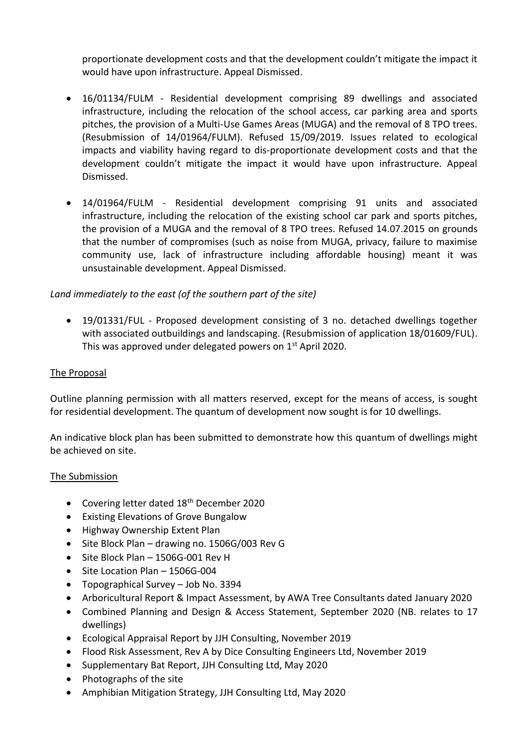proportionate development costs and that the development couldn't mitigate the impact it would have upon infrastructure. Appeal Dismissed.

- 16/01134/FULM Residential development comprising 89 dwellings and associated infrastructure, including the relocation of the school access, car parking area and sports pitches, the provision of a Multi-Use Games Areas (MUGA) and the removal of 8 TPO trees. (Resubmission of 14/01964/FULM). Refused 15/09/2019. Issues related to ecological impacts and viability having regard to dis-proportionate development costs and that the development couldn't mitigate the impact it would have upon infrastructure. Appeal Dismissed.
- 14/01964/FULM Residential development comprising 91 units and associated infrastructure, including the relocation of the existing school car park and sports pitches, the provision of a MUGA and the removal of 8 TPO trees. Refused 14.07.2015 on grounds that the number of compromises (such as noise from MUGA, privacy, failure to maximise community use, lack of infrastructure including affordable housing) meant it was unsustainable development. Appeal Dismissed.

# *Land immediately to the east (of the southern part of the site)*

 19/01331/FUL - Proposed development consisting of 3 no. detached dwellings together with associated outbuildings and landscaping. (Resubmission of application 18/01609/FUL). This was approved under delegated powers on 1<sup>st</sup> April 2020.

### The Proposal

Outline planning permission with all matters reserved, except for the means of access, is sought for residential development. The quantum of development now sought is for 10 dwellings.

An indicative block plan has been submitted to demonstrate how this quantum of dwellings might be achieved on site.

### The Submission

- Covering letter dated 18<sup>th</sup> December 2020
- Existing Elevations of Grove Bungalow
- Highway Ownership Extent Plan
- Site Block Plan drawing no. 1506G/003 Rev G
- $\bullet$  Site Block Plan 1506G-001 Rev H
- Site Location Plan 1506G-004
- Topographical Survey Job No. 3394
- Arboricultural Report & Impact Assessment, by AWA Tree Consultants dated January 2020
- Combined Planning and Design & Access Statement, September 2020 (NB. relates to 17 dwellings)
- Ecological Appraisal Report by JJH Consulting, November 2019
- Flood Risk Assessment, Rev A by Dice Consulting Engineers Ltd, November 2019
- Supplementary Bat Report, JJH Consulting Ltd, May 2020
- Photographs of the site
- Amphibian Mitigation Strategy, JJH Consulting Ltd, May 2020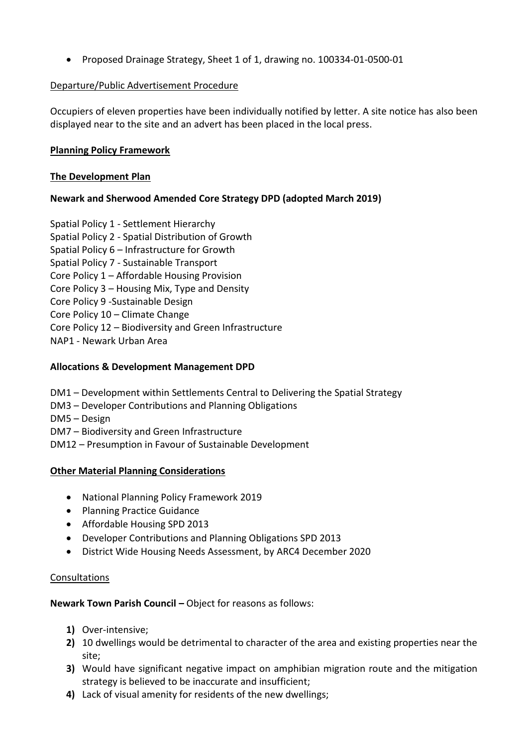Proposed Drainage Strategy, Sheet 1 of 1, drawing no. 100334-01-0500-01

### Departure/Public Advertisement Procedure

Occupiers of eleven properties have been individually notified by letter. A site notice has also been displayed near to the site and an advert has been placed in the local press.

### **Planning Policy Framework**

### **The Development Plan**

# **Newark and Sherwood Amended Core Strategy DPD (adopted March 2019)**

- Spatial Policy 1 Settlement Hierarchy
- Spatial Policy 2 Spatial Distribution of Growth
- Spatial Policy 6 Infrastructure for Growth
- Spatial Policy 7 Sustainable Transport
- Core Policy 1 Affordable Housing Provision
- Core Policy 3 Housing Mix, Type and Density
- Core Policy 9 -Sustainable Design
- Core Policy 10 Climate Change
- Core Policy 12 Biodiversity and Green Infrastructure
- NAP1 Newark Urban Area

### **Allocations & Development Management DPD**

- DM1 Development within Settlements Central to Delivering the Spatial Strategy
- DM3 Developer Contributions and Planning Obligations
- DM5 Design
- DM7 Biodiversity and Green Infrastructure
- DM12 Presumption in Favour of Sustainable Development

### **Other Material Planning Considerations**

- National Planning Policy Framework 2019
- Planning Practice Guidance
- Affordable Housing SPD 2013
- Developer Contributions and Planning Obligations SPD 2013
- District Wide Housing Needs Assessment, by ARC4 December 2020

### Consultations

### **Newark Town Parish Council –** Object for reasons as follows:

- **1)** Over-intensive;
- **2)** 10 dwellings would be detrimental to character of the area and existing properties near the site;
- **3)** Would have significant negative impact on amphibian migration route and the mitigation strategy is believed to be inaccurate and insufficient;
- **4)** Lack of visual amenity for residents of the new dwellings;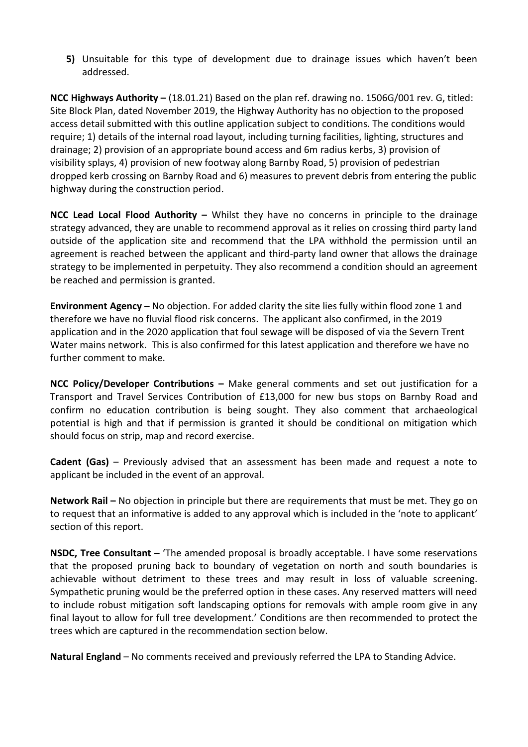**5)** Unsuitable for this type of development due to drainage issues which haven't been addressed.

**NCC Highways Authority –** (18.01.21) Based on the plan ref. drawing no. 1506G/001 rev. G, titled: Site Block Plan, dated November 2019, the Highway Authority has no objection to the proposed access detail submitted with this outline application subject to conditions. The conditions would require; 1) details of the internal road layout, including turning facilities, lighting, structures and drainage; 2) provision of an appropriate bound access and 6m radius kerbs, 3) provision of visibility splays, 4) provision of new footway along Barnby Road, 5) provision of pedestrian dropped kerb crossing on Barnby Road and 6) measures to prevent debris from entering the public highway during the construction period.

**NCC Lead Local Flood Authority –** Whilst they have no concerns in principle to the drainage strategy advanced, they are unable to recommend approval as it relies on crossing third party land outside of the application site and recommend that the LPA withhold the permission until an agreement is reached between the applicant and third-party land owner that allows the drainage strategy to be implemented in perpetuity. They also recommend a condition should an agreement be reached and permission is granted.

**Environment Agency –** No objection. For added clarity the site lies fully within flood zone 1 and therefore we have no fluvial flood risk concerns. The applicant also confirmed, in the 2019 application and in the 2020 application that foul sewage will be disposed of via the Severn Trent Water mains network. This is also confirmed for this latest application and therefore we have no further comment to make.

**NCC Policy/Developer Contributions –** Make general comments and set out justification for a Transport and Travel Services Contribution of £13,000 for new bus stops on Barnby Road and confirm no education contribution is being sought. They also comment that archaeological potential is high and that if permission is granted it should be conditional on mitigation which should focus on strip, map and record exercise.

**Cadent (Gas)** – Previously advised that an assessment has been made and request a note to applicant be included in the event of an approval.

**Network Rail –** No objection in principle but there are requirements that must be met. They go on to request that an informative is added to any approval which is included in the 'note to applicant' section of this report.

**NSDC, Tree Consultant –** 'The amended proposal is broadly acceptable. I have some reservations that the proposed pruning back to boundary of vegetation on north and south boundaries is achievable without detriment to these trees and may result in loss of valuable screening. Sympathetic pruning would be the preferred option in these cases. Any reserved matters will need to include robust mitigation soft landscaping options for removals with ample room give in any final layout to allow for full tree development.' Conditions are then recommended to protect the trees which are captured in the recommendation section below.

**Natural England** – No comments received and previously referred the LPA to Standing Advice.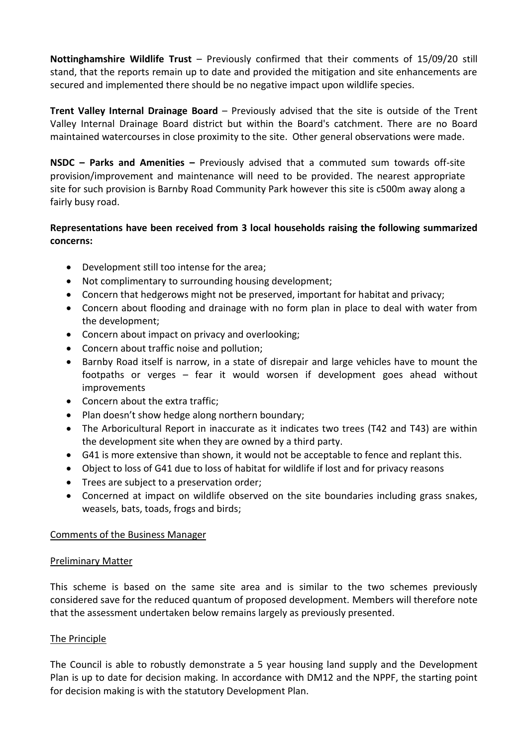**Nottinghamshire Wildlife Trust** – Previously confirmed that their comments of 15/09/20 still stand, that the reports remain up to date and provided the mitigation and site enhancements are secured and implemented there should be no negative impact upon wildlife species.

**Trent Valley Internal Drainage Board** – Previously advised that the site is outside of the Trent Valley Internal Drainage Board district but within the Board's catchment. There are no Board maintained watercourses in close proximity to the site. Other general observations were made.

**NSDC – Parks and Amenities –** Previously advised that a commuted sum towards off-site provision/improvement and maintenance will need to be provided. The nearest appropriate site for such provision is Barnby Road Community Park however this site is c500m away along a fairly busy road.

# **Representations have been received from 3 local households raising the following summarized concerns:**

- Development still too intense for the area;
- Not complimentary to surrounding housing development;
- Concern that hedgerows might not be preserved, important for habitat and privacy;
- Concern about flooding and drainage with no form plan in place to deal with water from the development;
- Concern about impact on privacy and overlooking;
- Concern about traffic noise and pollution;
- Barnby Road itself is narrow, in a state of disrepair and large vehicles have to mount the footpaths or verges – fear it would worsen if development goes ahead without improvements
- Concern about the extra traffic;
- Plan doesn't show hedge along northern boundary;
- The Arboricultural Report in inaccurate as it indicates two trees (T42 and T43) are within the development site when they are owned by a third party.
- G41 is more extensive than shown, it would not be acceptable to fence and replant this.
- Object to loss of G41 due to loss of habitat for wildlife if lost and for privacy reasons
- Trees are subject to a preservation order;
- Concerned at impact on wildlife observed on the site boundaries including grass snakes, weasels, bats, toads, frogs and birds;

### Comments of the Business Manager

### Preliminary Matter

This scheme is based on the same site area and is similar to the two schemes previously considered save for the reduced quantum of proposed development. Members will therefore note that the assessment undertaken below remains largely as previously presented.

# The Principle

The Council is able to robustly demonstrate a 5 year housing land supply and the Development Plan is up to date for decision making. In accordance with DM12 and the NPPF, the starting point for decision making is with the statutory Development Plan.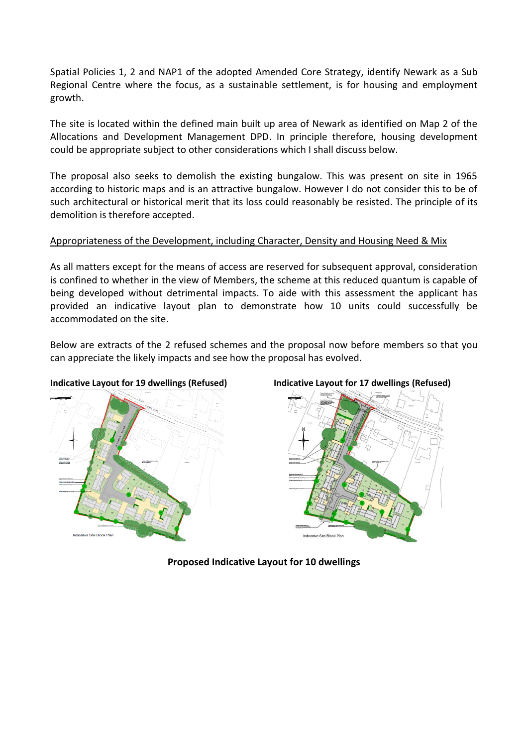Spatial Policies 1, 2 and NAP1 of the adopted Amended Core Strategy, identify Newark as a Sub Regional Centre where the focus, as a sustainable settlement, is for housing and employment growth.

The site is located within the defined main built up area of Newark as identified on Map 2 of the Allocations and Development Management DPD. In principle therefore, housing development could be appropriate subject to other considerations which I shall discuss below.

The proposal also seeks to demolish the existing bungalow. This was present on site in 1965 according to historic maps and is an attractive bungalow. However I do not consider this to be of such architectural or historical merit that its loss could reasonably be resisted. The principle of its demolition is therefore accepted.

### Appropriateness of the Development, including Character, Density and Housing Need & Mix

As all matters except for the means of access are reserved for subsequent approval, consideration is confined to whether in the view of Members, the scheme at this reduced quantum is capable of being developed without detrimental impacts. To aide with this assessment the applicant has provided an indicative layout plan to demonstrate how 10 units could successfully be accommodated on the site.

Below are extracts of the 2 refused schemes and the proposal now before members so that you can appreciate the likely impacts and see how the proposal has evolved.





**Proposed Indicative Layout for 10 dwellings**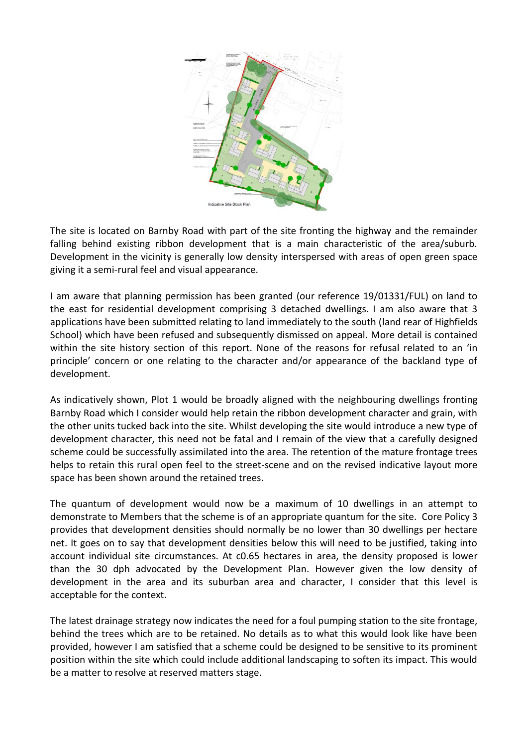

The site is located on Barnby Road with part of the site fronting the highway and the remainder falling behind existing ribbon development that is a main characteristic of the area/suburb. Development in the vicinity is generally low density interspersed with areas of open green space giving it a semi-rural feel and visual appearance.

I am aware that planning permission has been granted (our reference 19/01331/FUL) on land to the east for residential development comprising 3 detached dwellings. I am also aware that 3 applications have been submitted relating to land immediately to the south (land rear of Highfields School) which have been refused and subsequently dismissed on appeal. More detail is contained within the site history section of this report. None of the reasons for refusal related to an 'in principle' concern or one relating to the character and/or appearance of the backland type of development.

As indicatively shown, Plot 1 would be broadly aligned with the neighbouring dwellings fronting Barnby Road which I consider would help retain the ribbon development character and grain, with the other units tucked back into the site. Whilst developing the site would introduce a new type of development character, this need not be fatal and I remain of the view that a carefully designed scheme could be successfully assimilated into the area. The retention of the mature frontage trees helps to retain this rural open feel to the street-scene and on the revised indicative layout more space has been shown around the retained trees.

The quantum of development would now be a maximum of 10 dwellings in an attempt to demonstrate to Members that the scheme is of an appropriate quantum for the site. Core Policy 3 provides that development densities should normally be no lower than 30 dwellings per hectare net. It goes on to say that development densities below this will need to be justified, taking into account individual site circumstances. At c0.65 hectares in area, the density proposed is lower than the 30 dph advocated by the Development Plan. However given the low density of development in the area and its suburban area and character, I consider that this level is acceptable for the context.

The latest drainage strategy now indicates the need for a foul pumping station to the site frontage, behind the trees which are to be retained. No details as to what this would look like have been provided, however I am satisfied that a scheme could be designed to be sensitive to its prominent position within the site which could include additional landscaping to soften its impact. This would be a matter to resolve at reserved matters stage.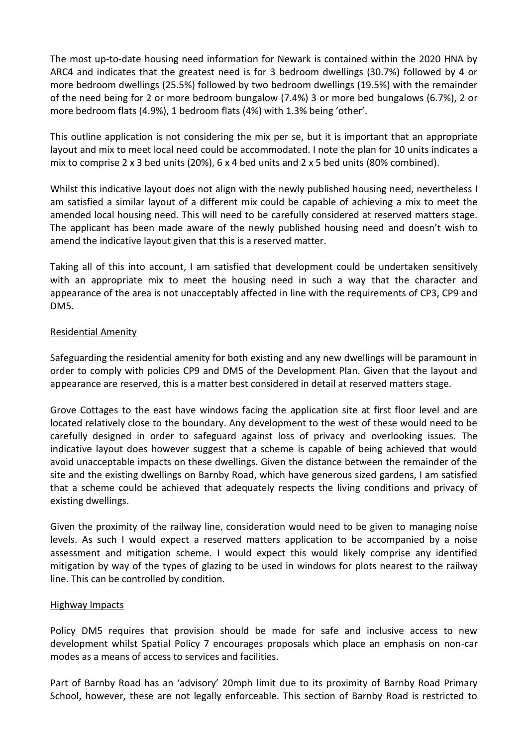The most up-to-date housing need information for Newark is contained within the 2020 HNA by ARC4 and indicates that the greatest need is for 3 bedroom dwellings (30.7%) followed by 4 or more bedroom dwellings (25.5%) followed by two bedroom dwellings (19.5%) with the remainder of the need being for 2 or more bedroom bungalow (7.4%) 3 or more bed bungalows (6.7%), 2 or more bedroom flats (4.9%), 1 bedroom flats (4%) with 1.3% being 'other'.

This outline application is not considering the mix per se, but it is important that an appropriate layout and mix to meet local need could be accommodated. I note the plan for 10 units indicates a mix to comprise 2 x 3 bed units (20%), 6 x 4 bed units and 2 x 5 bed units (80% combined).

Whilst this indicative layout does not align with the newly published housing need, nevertheless I am satisfied a similar layout of a different mix could be capable of achieving a mix to meet the amended local housing need. This will need to be carefully considered at reserved matters stage. The applicant has been made aware of the newly published housing need and doesn't wish to amend the indicative layout given that this is a reserved matter.

Taking all of this into account, I am satisfied that development could be undertaken sensitively with an appropriate mix to meet the housing need in such a way that the character and appearance of the area is not unacceptably affected in line with the requirements of CP3, CP9 and DM5.

### Residential Amenity

Safeguarding the residential amenity for both existing and any new dwellings will be paramount in order to comply with policies CP9 and DM5 of the Development Plan. Given that the layout and appearance are reserved, this is a matter best considered in detail at reserved matters stage.

Grove Cottages to the east have windows facing the application site at first floor level and are located relatively close to the boundary. Any development to the west of these would need to be carefully designed in order to safeguard against loss of privacy and overlooking issues. The indicative layout does however suggest that a scheme is capable of being achieved that would avoid unacceptable impacts on these dwellings. Given the distance between the remainder of the site and the existing dwellings on Barnby Road, which have generous sized gardens, I am satisfied that a scheme could be achieved that adequately respects the living conditions and privacy of existing dwellings.

Given the proximity of the railway line, consideration would need to be given to managing noise levels. As such I would expect a reserved matters application to be accompanied by a noise assessment and mitigation scheme. I would expect this would likely comprise any identified mitigation by way of the types of glazing to be used in windows for plots nearest to the railway line. This can be controlled by condition.

### Highway Impacts

Policy DM5 requires that provision should be made for safe and inclusive access to new development whilst Spatial Policy 7 encourages proposals which place an emphasis on non-car modes as a means of access to services and facilities.

Part of Barnby Road has an 'advisory' 20mph limit due to its proximity of Barnby Road Primary School, however, these are not legally enforceable. This section of Barnby Road is restricted to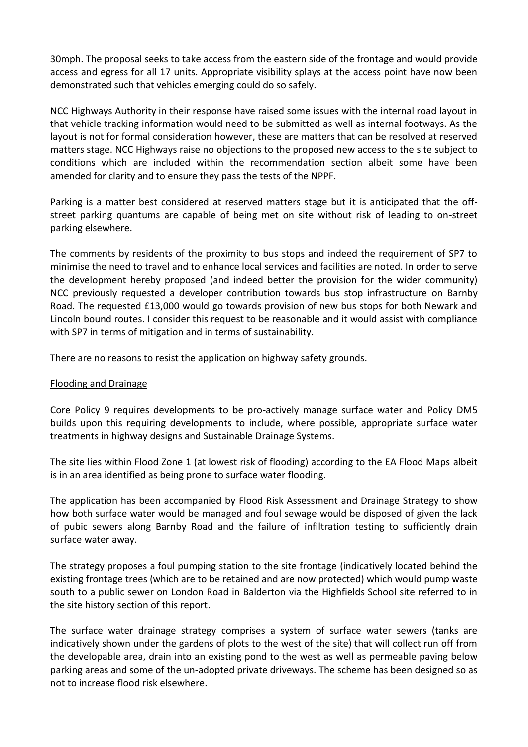30mph. The proposal seeks to take access from the eastern side of the frontage and would provide access and egress for all 17 units. Appropriate visibility splays at the access point have now been demonstrated such that vehicles emerging could do so safely.

NCC Highways Authority in their response have raised some issues with the internal road layout in that vehicle tracking information would need to be submitted as well as internal footways. As the layout is not for formal consideration however, these are matters that can be resolved at reserved matters stage. NCC Highways raise no objections to the proposed new access to the site subject to conditions which are included within the recommendation section albeit some have been amended for clarity and to ensure they pass the tests of the NPPF.

Parking is a matter best considered at reserved matters stage but it is anticipated that the offstreet parking quantums are capable of being met on site without risk of leading to on-street parking elsewhere.

The comments by residents of the proximity to bus stops and indeed the requirement of SP7 to minimise the need to travel and to enhance local services and facilities are noted. In order to serve the development hereby proposed (and indeed better the provision for the wider community) NCC previously requested a developer contribution towards bus stop infrastructure on Barnby Road. The requested £13,000 would go towards provision of new bus stops for both Newark and Lincoln bound routes. I consider this request to be reasonable and it would assist with compliance with SP7 in terms of mitigation and in terms of sustainability.

There are no reasons to resist the application on highway safety grounds.

### Flooding and Drainage

Core Policy 9 requires developments to be pro-actively manage surface water and Policy DM5 builds upon this requiring developments to include, where possible, appropriate surface water treatments in highway designs and Sustainable Drainage Systems.

The site lies within Flood Zone 1 (at lowest risk of flooding) according to the EA Flood Maps albeit is in an area identified as being prone to surface water flooding.

The application has been accompanied by Flood Risk Assessment and Drainage Strategy to show how both surface water would be managed and foul sewage would be disposed of given the lack of pubic sewers along Barnby Road and the failure of infiltration testing to sufficiently drain surface water away.

The strategy proposes a foul pumping station to the site frontage (indicatively located behind the existing frontage trees (which are to be retained and are now protected) which would pump waste south to a public sewer on London Road in Balderton via the Highfields School site referred to in the site history section of this report.

The surface water drainage strategy comprises a system of surface water sewers (tanks are indicatively shown under the gardens of plots to the west of the site) that will collect run off from the developable area, drain into an existing pond to the west as well as permeable paving below parking areas and some of the un-adopted private driveways. The scheme has been designed so as not to increase flood risk elsewhere.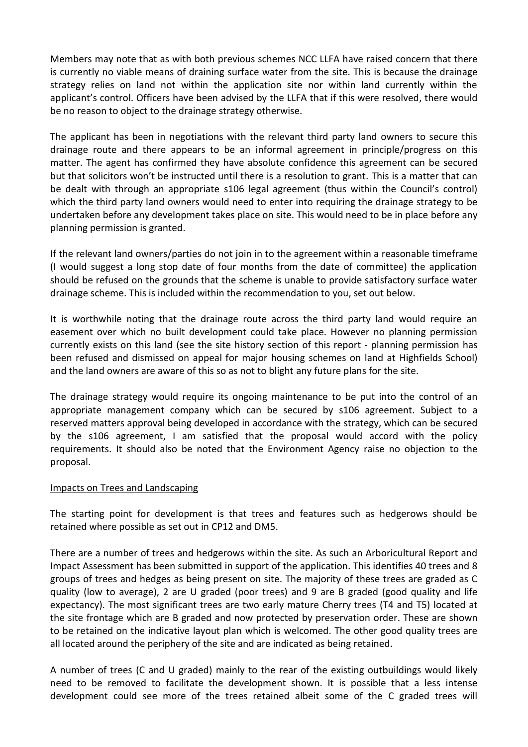Members may note that as with both previous schemes NCC LLFA have raised concern that there is currently no viable means of draining surface water from the site. This is because the drainage strategy relies on land not within the application site nor within land currently within the applicant's control. Officers have been advised by the LLFA that if this were resolved, there would be no reason to object to the drainage strategy otherwise.

The applicant has been in negotiations with the relevant third party land owners to secure this drainage route and there appears to be an informal agreement in principle/progress on this matter. The agent has confirmed they have absolute confidence this agreement can be secured but that solicitors won't be instructed until there is a resolution to grant. This is a matter that can be dealt with through an appropriate s106 legal agreement (thus within the Council's control) which the third party land owners would need to enter into requiring the drainage strategy to be undertaken before any development takes place on site. This would need to be in place before any planning permission is granted.

If the relevant land owners/parties do not join in to the agreement within a reasonable timeframe (I would suggest a long stop date of four months from the date of committee) the application should be refused on the grounds that the scheme is unable to provide satisfactory surface water drainage scheme. This is included within the recommendation to you, set out below.

It is worthwhile noting that the drainage route across the third party land would require an easement over which no built development could take place. However no planning permission currently exists on this land (see the site history section of this report - planning permission has been refused and dismissed on appeal for major housing schemes on land at Highfields School) and the land owners are aware of this so as not to blight any future plans for the site.

The drainage strategy would require its ongoing maintenance to be put into the control of an appropriate management company which can be secured by s106 agreement. Subject to a reserved matters approval being developed in accordance with the strategy, which can be secured by the s106 agreement, I am satisfied that the proposal would accord with the policy requirements. It should also be noted that the Environment Agency raise no objection to the proposal.

### Impacts on Trees and Landscaping

The starting point for development is that trees and features such as hedgerows should be retained where possible as set out in CP12 and DM5.

There are a number of trees and hedgerows within the site. As such an Arboricultural Report and Impact Assessment has been submitted in support of the application. This identifies 40 trees and 8 groups of trees and hedges as being present on site. The majority of these trees are graded as C quality (low to average), 2 are U graded (poor trees) and 9 are B graded (good quality and life expectancy). The most significant trees are two early mature Cherry trees (T4 and T5) located at the site frontage which are B graded and now protected by preservation order. These are shown to be retained on the indicative layout plan which is welcomed. The other good quality trees are all located around the periphery of the site and are indicated as being retained.

A number of trees (C and U graded) mainly to the rear of the existing outbuildings would likely need to be removed to facilitate the development shown. It is possible that a less intense development could see more of the trees retained albeit some of the C graded trees will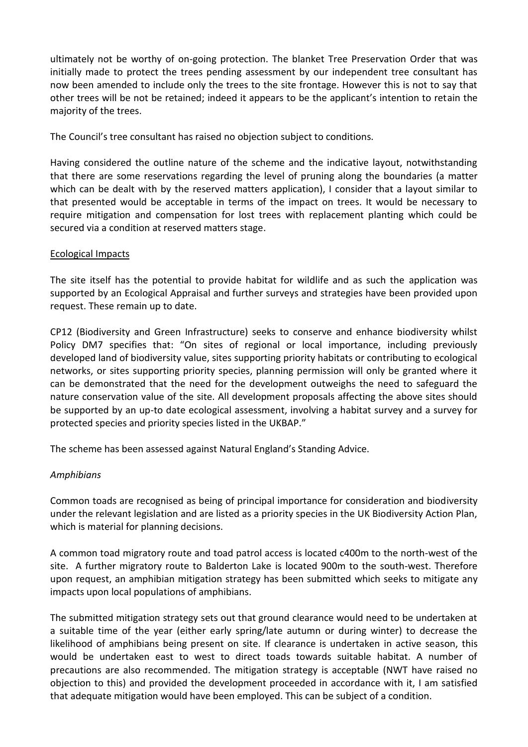ultimately not be worthy of on-going protection. The blanket Tree Preservation Order that was initially made to protect the trees pending assessment by our independent tree consultant has now been amended to include only the trees to the site frontage. However this is not to say that other trees will be not be retained; indeed it appears to be the applicant's intention to retain the majority of the trees.

The Council's tree consultant has raised no objection subject to conditions.

Having considered the outline nature of the scheme and the indicative layout, notwithstanding that there are some reservations regarding the level of pruning along the boundaries (a matter which can be dealt with by the reserved matters application), I consider that a layout similar to that presented would be acceptable in terms of the impact on trees. It would be necessary to require mitigation and compensation for lost trees with replacement planting which could be secured via a condition at reserved matters stage.

### Ecological Impacts

The site itself has the potential to provide habitat for wildlife and as such the application was supported by an Ecological Appraisal and further surveys and strategies have been provided upon request. These remain up to date.

CP12 (Biodiversity and Green Infrastructure) seeks to conserve and enhance biodiversity whilst Policy DM7 specifies that: "On sites of regional or local importance, including previously developed land of biodiversity value, sites supporting priority habitats or contributing to ecological networks, or sites supporting priority species, planning permission will only be granted where it can be demonstrated that the need for the development outweighs the need to safeguard the nature conservation value of the site. All development proposals affecting the above sites should be supported by an up-to date ecological assessment, involving a habitat survey and a survey for protected species and priority species listed in the UKBAP."

The scheme has been assessed against Natural England's Standing Advice.

### *Amphibians*

Common toads are recognised as being of principal importance for consideration and biodiversity under the relevant legislation and are listed as a priority species in the UK Biodiversity Action Plan, which is material for planning decisions.

A common toad migratory route and toad patrol access is located c400m to the north-west of the site. A further migratory route to Balderton Lake is located 900m to the south-west. Therefore upon request, an amphibian mitigation strategy has been submitted which seeks to mitigate any impacts upon local populations of amphibians.

The submitted mitigation strategy sets out that ground clearance would need to be undertaken at a suitable time of the year (either early spring/late autumn or during winter) to decrease the likelihood of amphibians being present on site. If clearance is undertaken in active season, this would be undertaken east to west to direct toads towards suitable habitat. A number of precautions are also recommended. The mitigation strategy is acceptable (NWT have raised no objection to this) and provided the development proceeded in accordance with it, I am satisfied that adequate mitigation would have been employed. This can be subject of a condition.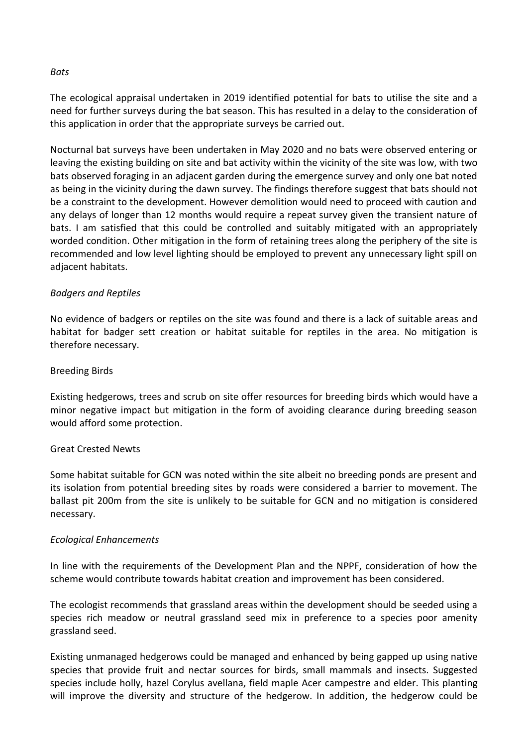### *Bats*

The ecological appraisal undertaken in 2019 identified potential for bats to utilise the site and a need for further surveys during the bat season. This has resulted in a delay to the consideration of this application in order that the appropriate surveys be carried out.

Nocturnal bat surveys have been undertaken in May 2020 and no bats were observed entering or leaving the existing building on site and bat activity within the vicinity of the site was low, with two bats observed foraging in an adjacent garden during the emergence survey and only one bat noted as being in the vicinity during the dawn survey. The findings therefore suggest that bats should not be a constraint to the development. However demolition would need to proceed with caution and any delays of longer than 12 months would require a repeat survey given the transient nature of bats. I am satisfied that this could be controlled and suitably mitigated with an appropriately worded condition. Other mitigation in the form of retaining trees along the periphery of the site is recommended and low level lighting should be employed to prevent any unnecessary light spill on adjacent habitats.

### *Badgers and Reptiles*

No evidence of badgers or reptiles on the site was found and there is a lack of suitable areas and habitat for badger sett creation or habitat suitable for reptiles in the area. No mitigation is therefore necessary.

### Breeding Birds

Existing hedgerows, trees and scrub on site offer resources for breeding birds which would have a minor negative impact but mitigation in the form of avoiding clearance during breeding season would afford some protection.

### Great Crested Newts

Some habitat suitable for GCN was noted within the site albeit no breeding ponds are present and its isolation from potential breeding sites by roads were considered a barrier to movement. The ballast pit 200m from the site is unlikely to be suitable for GCN and no mitigation is considered necessary.

### *Ecological Enhancements*

In line with the requirements of the Development Plan and the NPPF, consideration of how the scheme would contribute towards habitat creation and improvement has been considered.

The ecologist recommends that grassland areas within the development should be seeded using a species rich meadow or neutral grassland seed mix in preference to a species poor amenity grassland seed.

Existing unmanaged hedgerows could be managed and enhanced by being gapped up using native species that provide fruit and nectar sources for birds, small mammals and insects. Suggested species include holly, hazel Corylus avellana, field maple Acer campestre and elder. This planting will improve the diversity and structure of the hedgerow. In addition, the hedgerow could be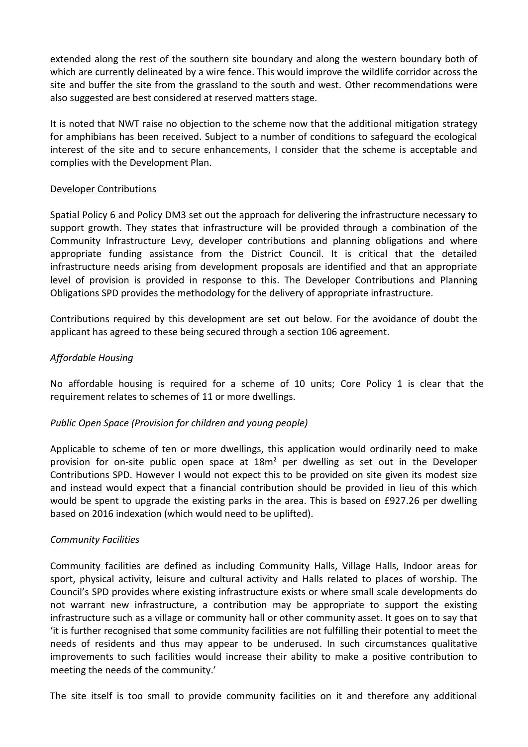extended along the rest of the southern site boundary and along the western boundary both of which are currently delineated by a wire fence. This would improve the wildlife corridor across the site and buffer the site from the grassland to the south and west. Other recommendations were also suggested are best considered at reserved matters stage.

It is noted that NWT raise no objection to the scheme now that the additional mitigation strategy for amphibians has been received. Subject to a number of conditions to safeguard the ecological interest of the site and to secure enhancements, I consider that the scheme is acceptable and complies with the Development Plan.

### Developer Contributions

Spatial Policy 6 and Policy DM3 set out the approach for delivering the infrastructure necessary to support growth. They states that infrastructure will be provided through a combination of the Community Infrastructure Levy, developer contributions and planning obligations and where appropriate funding assistance from the District Council. It is critical that the detailed infrastructure needs arising from development proposals are identified and that an appropriate level of provision is provided in response to this. The Developer Contributions and Planning Obligations SPD provides the methodology for the delivery of appropriate infrastructure.

Contributions required by this development are set out below. For the avoidance of doubt the applicant has agreed to these being secured through a section 106 agreement.

### *Affordable Housing*

No affordable housing is required for a scheme of 10 units; Core Policy 1 is clear that the requirement relates to schemes of 11 or more dwellings.

### *Public Open Space (Provision for children and young people)*

Applicable to scheme of ten or more dwellings, this application would ordinarily need to make provision for on-site public open space at 18m² per dwelling as set out in the Developer Contributions SPD. However I would not expect this to be provided on site given its modest size and instead would expect that a financial contribution should be provided in lieu of this which would be spent to upgrade the existing parks in the area. This is based on £927.26 per dwelling based on 2016 indexation (which would need to be uplifted).

### *Community Facilities*

Community facilities are defined as including Community Halls, Village Halls, Indoor areas for sport, physical activity, leisure and cultural activity and Halls related to places of worship. The Council's SPD provides where existing infrastructure exists or where small scale developments do not warrant new infrastructure, a contribution may be appropriate to support the existing infrastructure such as a village or community hall or other community asset. It goes on to say that 'it is further recognised that some community facilities are not fulfilling their potential to meet the needs of residents and thus may appear to be underused. In such circumstances qualitative improvements to such facilities would increase their ability to make a positive contribution to meeting the needs of the community.'

The site itself is too small to provide community facilities on it and therefore any additional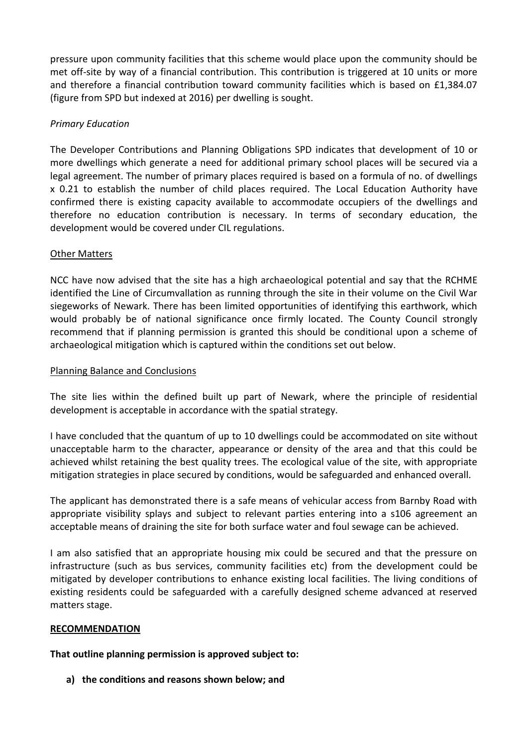pressure upon community facilities that this scheme would place upon the community should be met off-site by way of a financial contribution. This contribution is triggered at 10 units or more and therefore a financial contribution toward community facilities which is based on £1,384.07 (figure from SPD but indexed at 2016) per dwelling is sought.

### *Primary Education*

The Developer Contributions and Planning Obligations SPD indicates that development of 10 or more dwellings which generate a need for additional primary school places will be secured via a legal agreement. The number of primary places required is based on a formula of no. of dwellings x 0.21 to establish the number of child places required. The Local Education Authority have confirmed there is existing capacity available to accommodate occupiers of the dwellings and therefore no education contribution is necessary. In terms of secondary education, the development would be covered under CIL regulations.

### Other Matters

NCC have now advised that the site has a high archaeological potential and say that the RCHME identified the Line of Circumvallation as running through the site in their volume on the Civil War siegeworks of Newark. There has been limited opportunities of identifying this earthwork, which would probably be of national significance once firmly located. The County Council strongly recommend that if planning permission is granted this should be conditional upon a scheme of archaeological mitigation which is captured within the conditions set out below.

### Planning Balance and Conclusions

The site lies within the defined built up part of Newark, where the principle of residential development is acceptable in accordance with the spatial strategy.

I have concluded that the quantum of up to 10 dwellings could be accommodated on site without unacceptable harm to the character, appearance or density of the area and that this could be achieved whilst retaining the best quality trees. The ecological value of the site, with appropriate mitigation strategies in place secured by conditions, would be safeguarded and enhanced overall.

The applicant has demonstrated there is a safe means of vehicular access from Barnby Road with appropriate visibility splays and subject to relevant parties entering into a s106 agreement an acceptable means of draining the site for both surface water and foul sewage can be achieved.

I am also satisfied that an appropriate housing mix could be secured and that the pressure on infrastructure (such as bus services, community facilities etc) from the development could be mitigated by developer contributions to enhance existing local facilities. The living conditions of existing residents could be safeguarded with a carefully designed scheme advanced at reserved matters stage.

### **RECOMMENDATION**

**That outline planning permission is approved subject to:**

**a) the conditions and reasons shown below; and**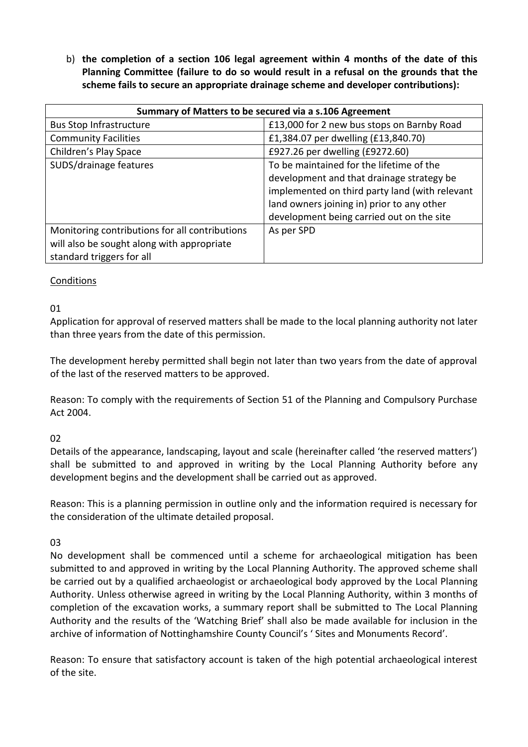b) **the completion of a section 106 legal agreement within 4 months of the date of this Planning Committee (failure to do so would result in a refusal on the grounds that the scheme fails to secure an appropriate drainage scheme and developer contributions):** 

| Summary of Matters to be secured via a s.106 Agreement |                                                |  |
|--------------------------------------------------------|------------------------------------------------|--|
| <b>Bus Stop Infrastructure</b>                         | £13,000 for 2 new bus stops on Barnby Road     |  |
| <b>Community Facilities</b>                            | £1,384.07 per dwelling (£13,840.70)            |  |
| Children's Play Space                                  | £927.26 per dwelling (£9272.60)                |  |
| SUDS/drainage features                                 | To be maintained for the lifetime of the       |  |
|                                                        | development and that drainage strategy be      |  |
|                                                        | implemented on third party land (with relevant |  |
|                                                        | land owners joining in) prior to any other     |  |
|                                                        | development being carried out on the site      |  |
| Monitoring contributions for all contributions         | As per SPD                                     |  |
| will also be sought along with appropriate             |                                                |  |
| standard triggers for all                              |                                                |  |

# Conditions

### 01

Application for approval of reserved matters shall be made to the local planning authority not later than three years from the date of this permission.

The development hereby permitted shall begin not later than two years from the date of approval of the last of the reserved matters to be approved.

Reason: To comply with the requirements of Section 51 of the Planning and Compulsory Purchase Act 2004.

### 02

Details of the appearance, landscaping, layout and scale (hereinafter called 'the reserved matters') shall be submitted to and approved in writing by the Local Planning Authority before any development begins and the development shall be carried out as approved.

Reason: This is a planning permission in outline only and the information required is necessary for the consideration of the ultimate detailed proposal.

# 03

No development shall be commenced until a scheme for archaeological mitigation has been submitted to and approved in writing by the Local Planning Authority. The approved scheme shall be carried out by a qualified archaeologist or archaeological body approved by the Local Planning Authority. Unless otherwise agreed in writing by the Local Planning Authority, within 3 months of completion of the excavation works, a summary report shall be submitted to The Local Planning Authority and the results of the 'Watching Brief' shall also be made available for inclusion in the archive of information of Nottinghamshire County Council's ' Sites and Monuments Record'.

Reason: To ensure that satisfactory account is taken of the high potential archaeological interest of the site.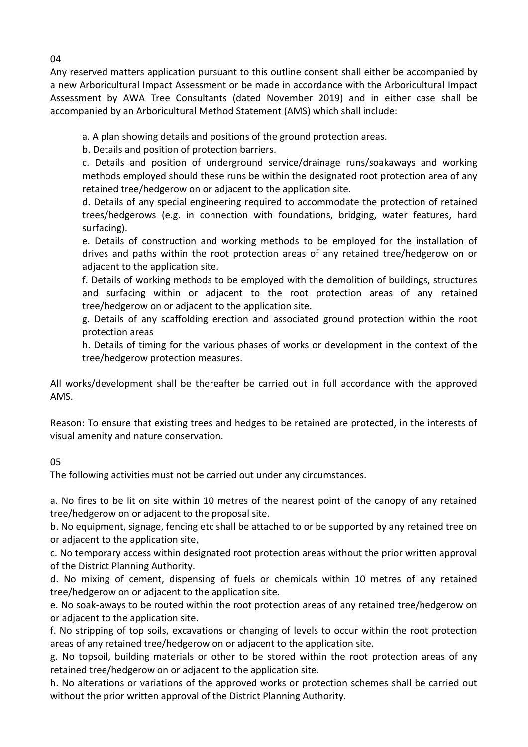Any reserved matters application pursuant to this outline consent shall either be accompanied by a new Arboricultural Impact Assessment or be made in accordance with the Arboricultural Impact Assessment by AWA Tree Consultants (dated November 2019) and in either case shall be accompanied by an Arboricultural Method Statement (AMS) which shall include:

a. A plan showing details and positions of the ground protection areas.

b. Details and position of protection barriers.

c. Details and position of underground service/drainage runs/soakaways and working methods employed should these runs be within the designated root protection area of any retained tree/hedgerow on or adjacent to the application site.

d. Details of any special engineering required to accommodate the protection of retained trees/hedgerows (e.g. in connection with foundations, bridging, water features, hard surfacing).

e. Details of construction and working methods to be employed for the installation of drives and paths within the root protection areas of any retained tree/hedgerow on or adjacent to the application site.

f. Details of working methods to be employed with the demolition of buildings, structures and surfacing within or adjacent to the root protection areas of any retained tree/hedgerow on or adjacent to the application site.

g. Details of any scaffolding erection and associated ground protection within the root protection areas

h. Details of timing for the various phases of works or development in the context of the tree/hedgerow protection measures.

All works/development shall be thereafter be carried out in full accordance with the approved AMS.

Reason: To ensure that existing trees and hedges to be retained are protected, in the interests of visual amenity and nature conservation.

# 05

The following activities must not be carried out under any circumstances.

a. No fires to be lit on site within 10 metres of the nearest point of the canopy of any retained tree/hedgerow on or adjacent to the proposal site.

b. No equipment, signage, fencing etc shall be attached to or be supported by any retained tree on or adjacent to the application site,

c. No temporary access within designated root protection areas without the prior written approval of the District Planning Authority.

d. No mixing of cement, dispensing of fuels or chemicals within 10 metres of any retained tree/hedgerow on or adjacent to the application site.

e. No soak-aways to be routed within the root protection areas of any retained tree/hedgerow on or adjacent to the application site.

f. No stripping of top soils, excavations or changing of levels to occur within the root protection areas of any retained tree/hedgerow on or adjacent to the application site.

g. No topsoil, building materials or other to be stored within the root protection areas of any retained tree/hedgerow on or adjacent to the application site.

h. No alterations or variations of the approved works or protection schemes shall be carried out without the prior written approval of the District Planning Authority.

04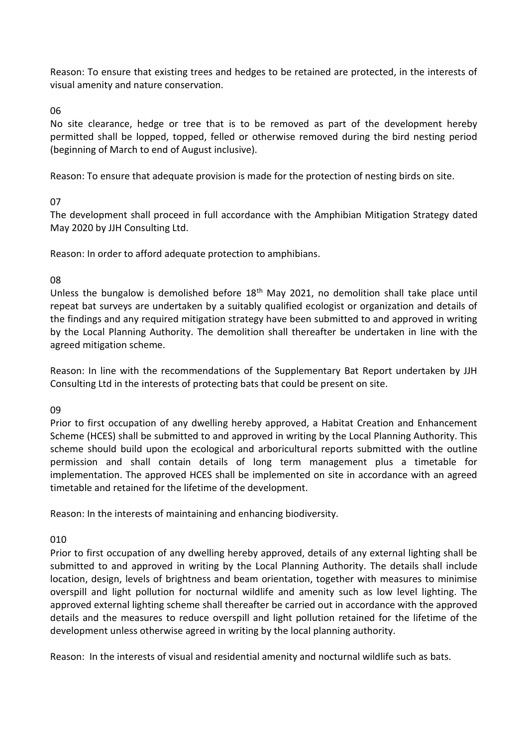Reason: To ensure that existing trees and hedges to be retained are protected, in the interests of visual amenity and nature conservation.

06

No site clearance, hedge or tree that is to be removed as part of the development hereby permitted shall be lopped, topped, felled or otherwise removed during the bird nesting period (beginning of March to end of August inclusive).

Reason: To ensure that adequate provision is made for the protection of nesting birds on site.

07

The development shall proceed in full accordance with the Amphibian Mitigation Strategy dated May 2020 by JJH Consulting Ltd.

Reason: In order to afford adequate protection to amphibians.

08

Unless the bungalow is demolished before  $18<sup>th</sup>$  May 2021, no demolition shall take place until repeat bat surveys are undertaken by a suitably qualified ecologist or organization and details of the findings and any required mitigation strategy have been submitted to and approved in writing by the Local Planning Authority. The demolition shall thereafter be undertaken in line with the agreed mitigation scheme.

Reason: In line with the recommendations of the Supplementary Bat Report undertaken by JJH Consulting Ltd in the interests of protecting bats that could be present on site.

09

Prior to first occupation of any dwelling hereby approved, a Habitat Creation and Enhancement Scheme (HCES) shall be submitted to and approved in writing by the Local Planning Authority. This scheme should build upon the ecological and arboricultural reports submitted with the outline permission and shall contain details of long term management plus a timetable for implementation. The approved HCES shall be implemented on site in accordance with an agreed timetable and retained for the lifetime of the development.

Reason: In the interests of maintaining and enhancing biodiversity.

010

Prior to first occupation of any dwelling hereby approved, details of any external lighting shall be submitted to and approved in writing by the Local Planning Authority. The details shall include location, design, levels of brightness and beam orientation, together with measures to minimise overspill and light pollution for nocturnal wildlife and amenity such as low level lighting. The approved external lighting scheme shall thereafter be carried out in accordance with the approved details and the measures to reduce overspill and light pollution retained for the lifetime of the development unless otherwise agreed in writing by the local planning authority.

Reason: In the interests of visual and residential amenity and nocturnal wildlife such as bats.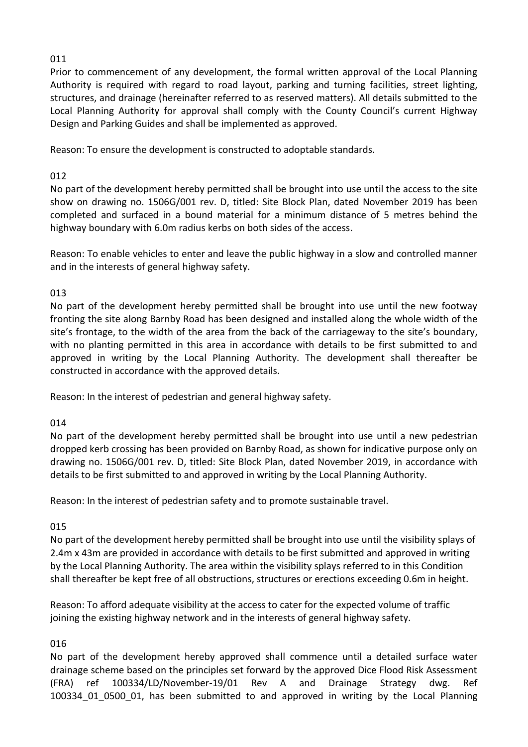# 011

Prior to commencement of any development, the formal written approval of the Local Planning Authority is required with regard to road layout, parking and turning facilities, street lighting, structures, and drainage (hereinafter referred to as reserved matters). All details submitted to the Local Planning Authority for approval shall comply with the County Council's current Highway Design and Parking Guides and shall be implemented as approved.

Reason: To ensure the development is constructed to adoptable standards.

# 012

No part of the development hereby permitted shall be brought into use until the access to the site show on drawing no. 1506G/001 rev. D, titled: Site Block Plan, dated November 2019 has been completed and surfaced in a bound material for a minimum distance of 5 metres behind the highway boundary with 6.0m radius kerbs on both sides of the access.

Reason: To enable vehicles to enter and leave the public highway in a slow and controlled manner and in the interests of general highway safety.

# 013

No part of the development hereby permitted shall be brought into use until the new footway fronting the site along Barnby Road has been designed and installed along the whole width of the site's frontage, to the width of the area from the back of the carriageway to the site's boundary, with no planting permitted in this area in accordance with details to be first submitted to and approved in writing by the Local Planning Authority. The development shall thereafter be constructed in accordance with the approved details.

Reason: In the interest of pedestrian and general highway safety.

# 014

No part of the development hereby permitted shall be brought into use until a new pedestrian dropped kerb crossing has been provided on Barnby Road, as shown for indicative purpose only on drawing no. 1506G/001 rev. D, titled: Site Block Plan, dated November 2019, in accordance with details to be first submitted to and approved in writing by the Local Planning Authority.

Reason: In the interest of pedestrian safety and to promote sustainable travel.

# 015

No part of the development hereby permitted shall be brought into use until the visibility splays of 2.4m x 43m are provided in accordance with details to be first submitted and approved in writing by the Local Planning Authority. The area within the visibility splays referred to in this Condition shall thereafter be kept free of all obstructions, structures or erections exceeding 0.6m in height.

Reason: To afford adequate visibility at the access to cater for the expected volume of traffic joining the existing highway network and in the interests of general highway safety.

# 016

No part of the development hereby approved shall commence until a detailed surface water drainage scheme based on the principles set forward by the approved Dice Flood Risk Assessment (FRA) ref 100334/LD/November-19/01 Rev A and Drainage Strategy dwg. Ref 100334 01 0500 01, has been submitted to and approved in writing by the Local Planning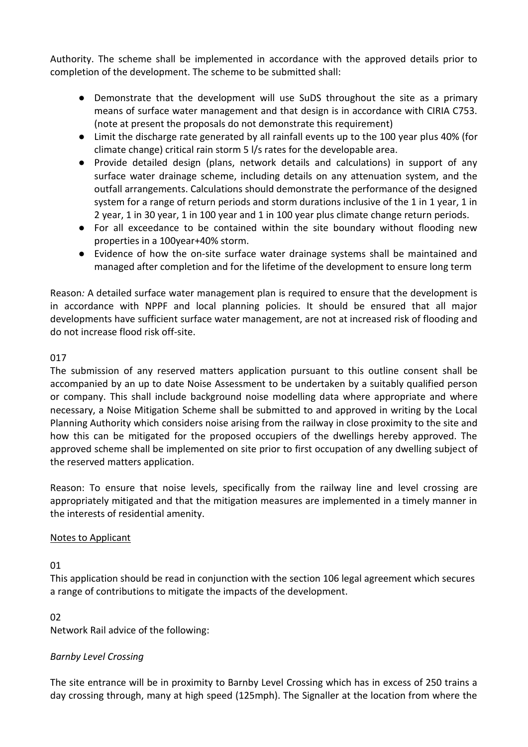Authority. The scheme shall be implemented in accordance with the approved details prior to completion of the development. The scheme to be submitted shall:

- Demonstrate that the development will use SuDS throughout the site as a primary means of surface water management and that design is in accordance with CIRIA C753. (note at present the proposals do not demonstrate this requirement)
- Limit the discharge rate generated by all rainfall events up to the 100 year plus 40% (for climate change) critical rain storm 5 l/s rates for the developable area.
- Provide detailed design (plans, network details and calculations) in support of any surface water drainage scheme, including details on any attenuation system, and the outfall arrangements. Calculations should demonstrate the performance of the designed system for a range of return periods and storm durations inclusive of the 1 in 1 year, 1 in 2 year, 1 in 30 year, 1 in 100 year and 1 in 100 year plus climate change return periods.
- For all exceedance to be contained within the site boundary without flooding new properties in a 100year+40% storm.
- Evidence of how the on-site surface water drainage systems shall be maintained and managed after completion and for the lifetime of the development to ensure long term

Reason*:* A detailed surface water management plan is required to ensure that the development is in accordance with NPPF and local planning policies. It should be ensured that all major developments have sufficient surface water management, are not at increased risk of flooding and do not increase flood risk off-site.

# 017

The submission of any reserved matters application pursuant to this outline consent shall be accompanied by an up to date Noise Assessment to be undertaken by a suitably qualified person or company. This shall include background noise modelling data where appropriate and where necessary, a Noise Mitigation Scheme shall be submitted to and approved in writing by the Local Planning Authority which considers noise arising from the railway in close proximity to the site and how this can be mitigated for the proposed occupiers of the dwellings hereby approved. The approved scheme shall be implemented on site prior to first occupation of any dwelling subject of the reserved matters application.

Reason: To ensure that noise levels, specifically from the railway line and level crossing are appropriately mitigated and that the mitigation measures are implemented in a timely manner in the interests of residential amenity.

# Notes to Applicant

# 01

This application should be read in conjunction with the section 106 legal agreement which secures a range of contributions to mitigate the impacts of the development.

# 02

Network Rail advice of the following:

# *Barnby Level Crossing*

The site entrance will be in proximity to Barnby Level Crossing which has in excess of 250 trains a day crossing through, many at high speed (125mph). The Signaller at the location from where the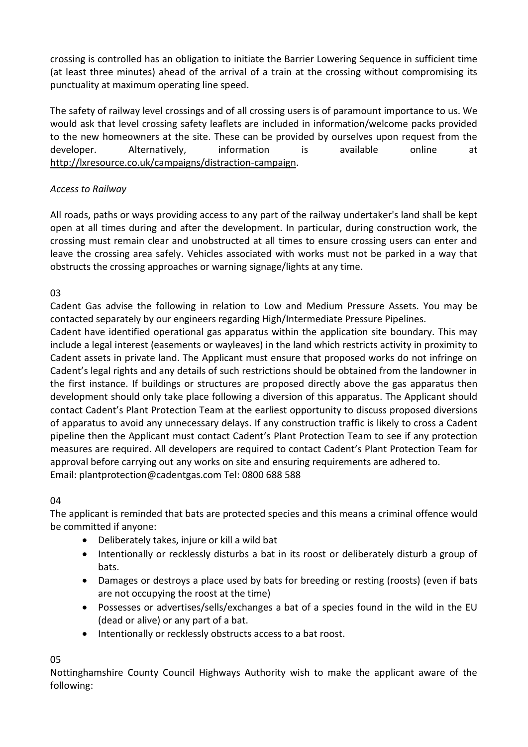crossing is controlled has an obligation to initiate the Barrier Lowering Sequence in sufficient time (at least three minutes) ahead of the arrival of a train at the crossing without compromising its punctuality at maximum operating line speed.

The safety of railway level crossings and of all crossing users is of paramount importance to us. We would ask that level crossing safety leaflets are included in information/welcome packs provided to the new homeowners at the site. These can be provided by ourselves upon request from the developer. Alternatively, information is available online at [http://lxresource.co.uk/campaigns/distraction-campaign.](http://lxresource.co.uk/campaigns/distraction-campaign)

# *Access to Railway*

All roads, paths or ways providing access to any part of the railway undertaker's land shall be kept open at all times during and after the development. In particular, during construction work, the crossing must remain clear and unobstructed at all times to ensure crossing users can enter and leave the crossing area safely. Vehicles associated with works must not be parked in a way that obstructs the crossing approaches or warning signage/lights at any time.

# 03

Cadent Gas advise the following in relation to Low and Medium Pressure Assets. You may be contacted separately by our engineers regarding High/Intermediate Pressure Pipelines.

Cadent have identified operational gas apparatus within the application site boundary. This may include a legal interest (easements or wayleaves) in the land which restricts activity in proximity to Cadent assets in private land. The Applicant must ensure that proposed works do not infringe on Cadent's legal rights and any details of such restrictions should be obtained from the landowner in the first instance. If buildings or structures are proposed directly above the gas apparatus then development should only take place following a diversion of this apparatus. The Applicant should contact Cadent's Plant Protection Team at the earliest opportunity to discuss proposed diversions of apparatus to avoid any unnecessary delays. If any construction traffic is likely to cross a Cadent pipeline then the Applicant must contact Cadent's Plant Protection Team to see if any protection measures are required. All developers are required to contact Cadent's Plant Protection Team for approval before carrying out any works on site and ensuring requirements are adhered to. Email: plantprotection@cadentgas.com Tel: 0800 688 588

# 04

The applicant is reminded that bats are protected species and this means a criminal offence would be committed if anyone:

- Deliberately takes, injure or kill a wild bat
- Intentionally or recklessly disturbs a bat in its roost or deliberately disturb a group of bats.
- Damages or destroys a place used by bats for breeding or resting (roosts) (even if bats are not occupying the roost at the time)
- Possesses or advertises/sells/exchanges a bat of a species found in the wild in the EU (dead or alive) or any part of a bat.
- Intentionally or recklessly obstructs access to a bat roost.

05

Nottinghamshire County Council Highways Authority wish to make the applicant aware of the following: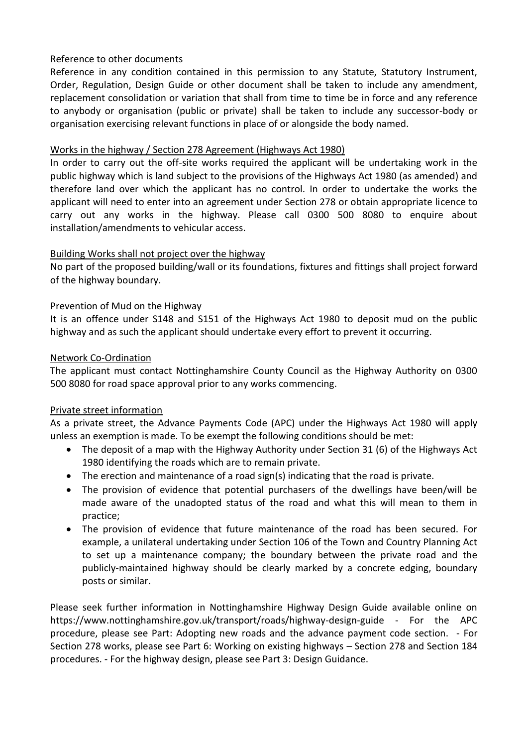# Reference to other documents

Reference in any condition contained in this permission to any Statute, Statutory Instrument, Order, Regulation, Design Guide or other document shall be taken to include any amendment, replacement consolidation or variation that shall from time to time be in force and any reference to anybody or organisation (public or private) shall be taken to include any successor-body or organisation exercising relevant functions in place of or alongside the body named.

# Works in the highway / Section 278 Agreement (Highways Act 1980)

In order to carry out the off-site works required the applicant will be undertaking work in the public highway which is land subject to the provisions of the Highways Act 1980 (as amended) and therefore land over which the applicant has no control. In order to undertake the works the applicant will need to enter into an agreement under Section 278 or obtain appropriate licence to carry out any works in the highway. Please call 0300 500 8080 to enquire about installation/amendments to vehicular access.

# Building Works shall not project over the highway

No part of the proposed building/wall or its foundations, fixtures and fittings shall project forward of the highway boundary.

### Prevention of Mud on the Highway

It is an offence under S148 and S151 of the Highways Act 1980 to deposit mud on the public highway and as such the applicant should undertake every effort to prevent it occurring.

### Network Co-Ordination

The applicant must contact Nottinghamshire County Council as the Highway Authority on 0300 500 8080 for road space approval prior to any works commencing.

# Private street information

As a private street, the Advance Payments Code (APC) under the Highways Act 1980 will apply unless an exemption is made. To be exempt the following conditions should be met:

- The deposit of a map with the Highway Authority under Section 31 (6) of the Highways Act 1980 identifying the roads which are to remain private.
- The erection and maintenance of a road sign(s) indicating that the road is private.
- The provision of evidence that potential purchasers of the dwellings have been/will be made aware of the unadopted status of the road and what this will mean to them in practice;
- The provision of evidence that future maintenance of the road has been secured. For example, a unilateral undertaking under Section 106 of the Town and Country Planning Act to set up a maintenance company; the boundary between the private road and the publicly-maintained highway should be clearly marked by a concrete edging, boundary posts or similar.

Please seek further information in Nottinghamshire Highway Design Guide available online on https://www.nottinghamshire.gov.uk/transport/roads/highway-design-guide - For the APC procedure, please see Part: Adopting new roads and the advance payment code section. - For Section 278 works, please see Part 6: Working on existing highways – Section 278 and Section 184 procedures. - For the highway design, please see Part 3: Design Guidance.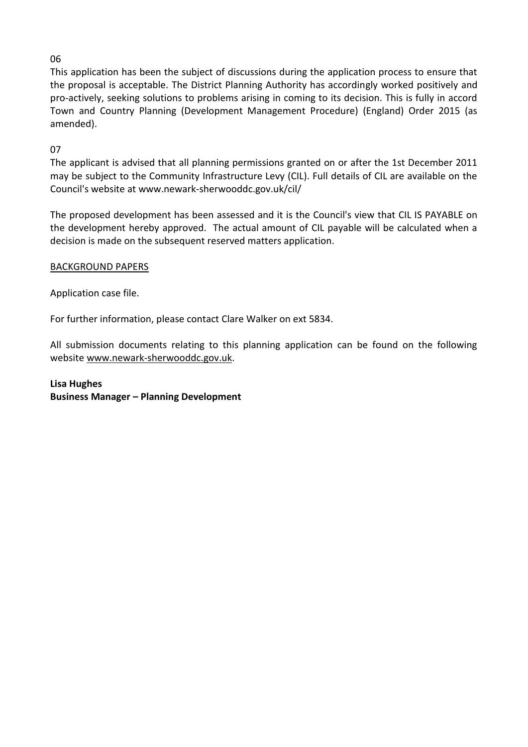# 06

This application has been the subject of discussions during the application process to ensure that the proposal is acceptable. The District Planning Authority has accordingly worked positively and pro-actively, seeking solutions to problems arising in coming to its decision. This is fully in accord Town and Country Planning (Development Management Procedure) (England) Order 2015 (as amended).

# 07

The applicant is advised that all planning permissions granted on or after the 1st December 2011 may be subject to the Community Infrastructure Levy (CIL). Full details of CIL are available on the Council's website at www.newark-sherwooddc.gov.uk/cil/

The proposed development has been assessed and it is the Council's view that CIL IS PAYABLE on the development hereby approved. The actual amount of CIL payable will be calculated when a decision is made on the subsequent reserved matters application.

### BACKGROUND PAPERS

Application case file.

For further information, please contact Clare Walker on ext 5834.

All submission documents relating to this planning application can be found on the following websit[e www.newark-sherwooddc.gov.uk.](http://www.newark-sherwooddc.gov.uk/)

# **Lisa Hughes Business Manager – Planning Development**